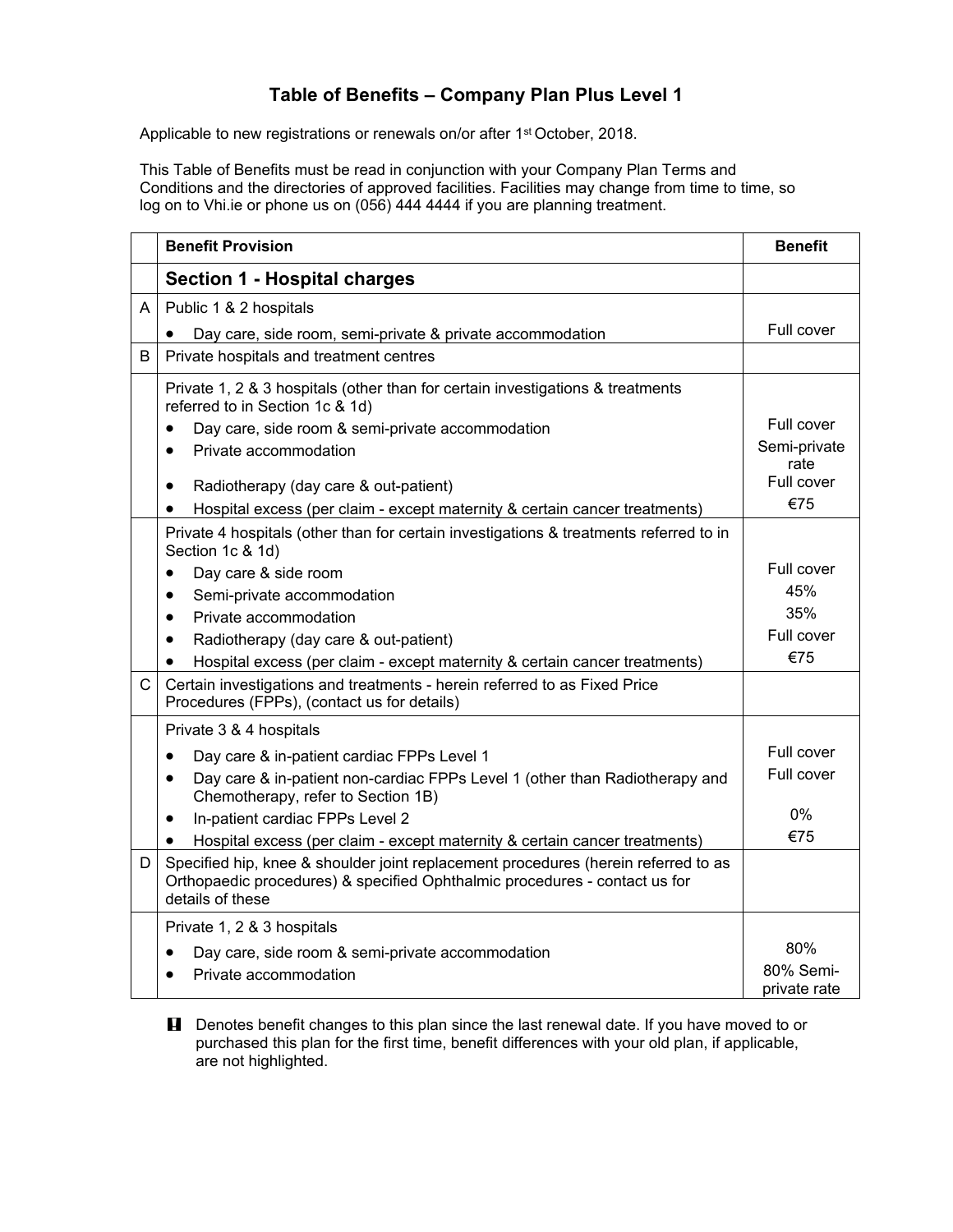## **Table of Benefits – Company Plan Plus Level 1**

Applicable to new registrations or renewals on/or after 1<sup>st</sup> October, 2018.

This Table of Benefits must be read in conjunction with your Company Plan Terms and Conditions and the directories of approved facilities. Facilities may change from time to time, so log on to Vhi.ie or phone us on (056) 444 4444 if you are planning treatment.

|              | <b>Benefit Provision</b>                                                                                                                                                             | <b>Benefit</b> |
|--------------|--------------------------------------------------------------------------------------------------------------------------------------------------------------------------------------|----------------|
|              | <b>Section 1 - Hospital charges</b>                                                                                                                                                  |                |
| A            | Public 1 & 2 hospitals                                                                                                                                                               |                |
|              | Day care, side room, semi-private & private accommodation                                                                                                                            | Full cover     |
| B            | Private hospitals and treatment centres                                                                                                                                              |                |
|              | Private 1, 2 & 3 hospitals (other than for certain investigations & treatments<br>referred to in Section 1c & 1d)                                                                    | Full cover     |
|              | Day care, side room & semi-private accommodation<br>Private accommodation                                                                                                            | Semi-private   |
|              | $\bullet$                                                                                                                                                                            | rate           |
|              | Radiotherapy (day care & out-patient)<br>$\bullet$                                                                                                                                   | Full cover     |
|              | Hospital excess (per claim - except maternity & certain cancer treatments)<br>$\bullet$                                                                                              | €75            |
|              | Private 4 hospitals (other than for certain investigations & treatments referred to in<br>Section 1c & 1d)                                                                           |                |
|              | Day care & side room<br>$\bullet$                                                                                                                                                    | Full cover     |
|              | Semi-private accommodation<br>$\bullet$                                                                                                                                              | 45%            |
|              | Private accommodation<br>$\bullet$                                                                                                                                                   | 35%            |
|              | Radiotherapy (day care & out-patient)<br>$\bullet$                                                                                                                                   | Full cover     |
|              | Hospital excess (per claim - except maternity & certain cancer treatments)                                                                                                           | €75            |
| $\mathsf{C}$ | Certain investigations and treatments - herein referred to as Fixed Price<br>Procedures (FPPs), (contact us for details)                                                             |                |
|              | Private 3 & 4 hospitals                                                                                                                                                              |                |
|              | Day care & in-patient cardiac FPPs Level 1                                                                                                                                           | Full cover     |
|              | Day care & in-patient non-cardiac FPPs Level 1 (other than Radiotherapy and<br>$\bullet$<br>Chemotherapy, refer to Section 1B)                                                       | Full cover     |
|              | In-patient cardiac FPPs Level 2<br>$\bullet$                                                                                                                                         | 0%             |
|              | Hospital excess (per claim - except maternity & certain cancer treatments)                                                                                                           | €75            |
| D            | Specified hip, knee & shoulder joint replacement procedures (herein referred to as<br>Orthopaedic procedures) & specified Ophthalmic procedures - contact us for<br>details of these |                |
|              | Private 1, 2 & 3 hospitals                                                                                                                                                           |                |
|              | Day care, side room & semi-private accommodation                                                                                                                                     | 80%            |
|              | Private accommodation                                                                                                                                                                | 80% Semi-      |
|              |                                                                                                                                                                                      | private rate   |

**H** Denotes benefit changes to this plan since the last renewal date. If you have moved to or purchased this plan for the first time, benefit differences with your old plan, if applicable, are not highlighted.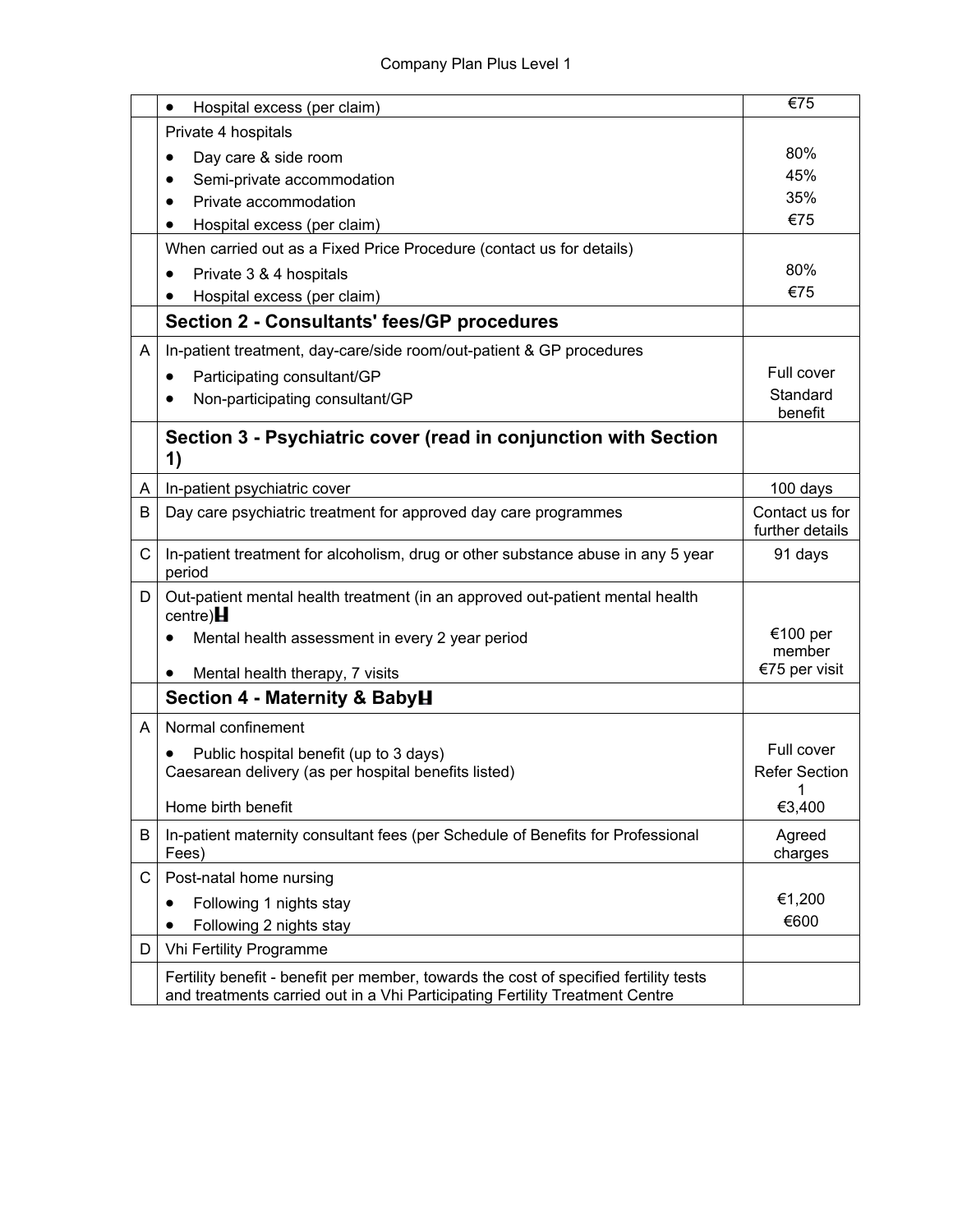|   | Hospital excess (per claim)<br>$\bullet$                                                                                                                              | €75                               |
|---|-----------------------------------------------------------------------------------------------------------------------------------------------------------------------|-----------------------------------|
|   | Private 4 hospitals                                                                                                                                                   |                                   |
|   | Day care & side room                                                                                                                                                  | 80%                               |
|   | Semi-private accommodation                                                                                                                                            | 45%                               |
|   | Private accommodation                                                                                                                                                 | 35%                               |
|   | Hospital excess (per claim)                                                                                                                                           | €75                               |
|   | When carried out as a Fixed Price Procedure (contact us for details)                                                                                                  |                                   |
|   | Private 3 & 4 hospitals<br>٠                                                                                                                                          | 80%                               |
|   | Hospital excess (per claim)                                                                                                                                           | €75                               |
|   | <b>Section 2 - Consultants' fees/GP procedures</b>                                                                                                                    |                                   |
| A | In-patient treatment, day-care/side room/out-patient & GP procedures                                                                                                  |                                   |
|   | Participating consultant/GP<br>٠                                                                                                                                      | Full cover                        |
|   | Non-participating consultant/GP                                                                                                                                       | Standard<br>benefit               |
|   | Section 3 - Psychiatric cover (read in conjunction with Section<br>1)                                                                                                 |                                   |
| A | In-patient psychiatric cover                                                                                                                                          | 100 days                          |
| B | Day care psychiatric treatment for approved day care programmes                                                                                                       | Contact us for<br>further details |
| C | In-patient treatment for alcoholism, drug or other substance abuse in any 5 year<br>period                                                                            | 91 days                           |
| D | Out-patient mental health treatment (in an approved out-patient mental health<br>centre) $H$                                                                          |                                   |
|   | Mental health assessment in every 2 year period                                                                                                                       | €100 per<br>member                |
|   | Mental health therapy, 7 visits<br>٠                                                                                                                                  | €75 per visit                     |
|   | Section 4 - Maternity & BabyH                                                                                                                                         |                                   |
| A | Normal confinement                                                                                                                                                    |                                   |
|   | Public hospital benefit (up to 3 days)                                                                                                                                | Full cover                        |
|   | Caesarean delivery (as per hospital benefits listed)                                                                                                                  | <b>Refer Section</b>              |
|   | Home birth benefit                                                                                                                                                    | $\overline{1}$<br>€3,400          |
| B | In-patient maternity consultant fees (per Schedule of Benefits for Professional<br>Fees)                                                                              | Agreed<br>charges                 |
| С | Post-natal home nursing                                                                                                                                               |                                   |
|   | Following 1 nights stay                                                                                                                                               | €1,200                            |
|   | Following 2 nights stay                                                                                                                                               | €600                              |
| D | Vhi Fertility Programme                                                                                                                                               |                                   |
|   | Fertility benefit - benefit per member, towards the cost of specified fertility tests<br>and treatments carried out in a Vhi Participating Fertility Treatment Centre |                                   |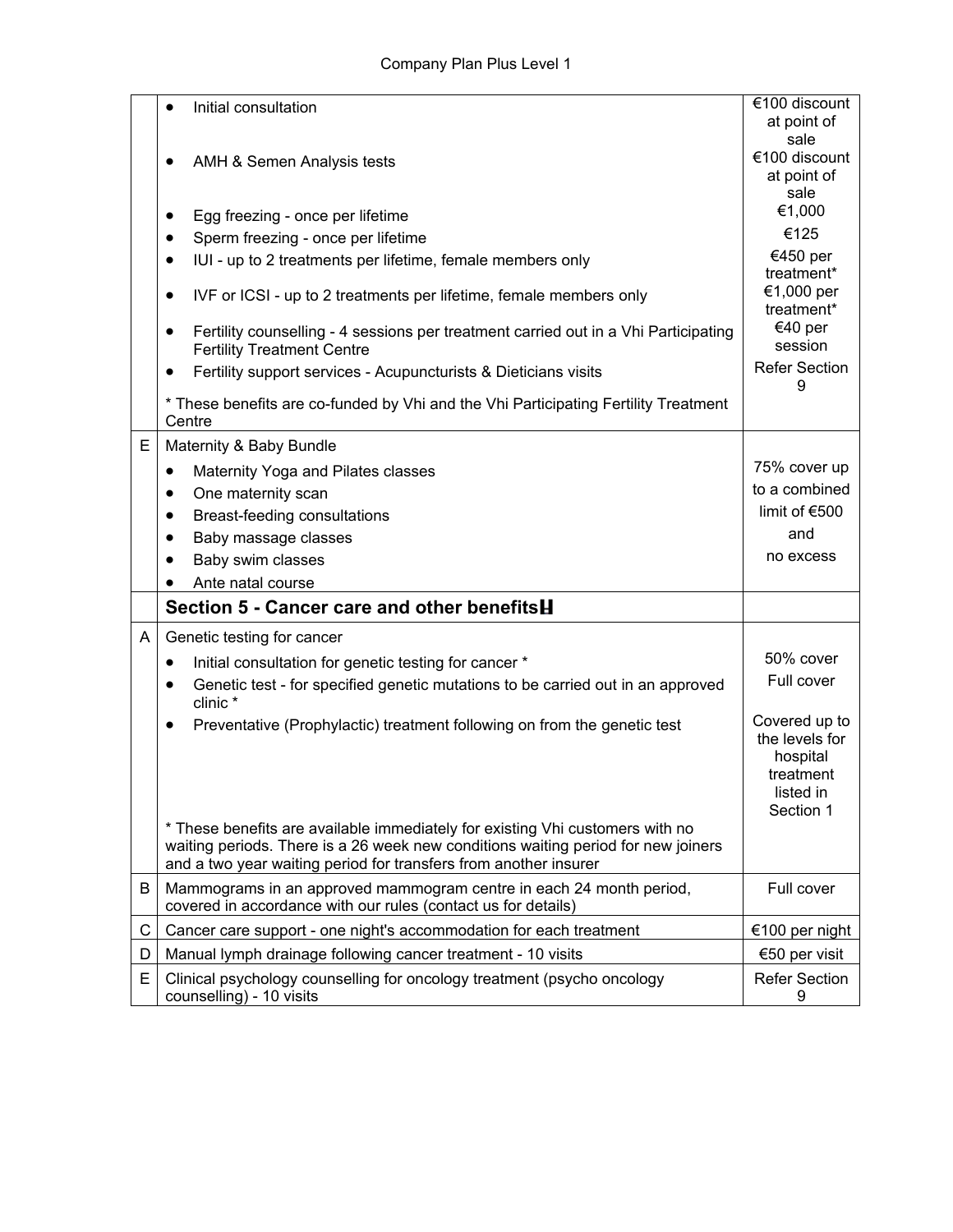|   | Initial consultation                                                                                                                                  | €100 discount<br>at point of<br>sale |
|---|-------------------------------------------------------------------------------------------------------------------------------------------------------|--------------------------------------|
|   | AMH & Semen Analysis tests                                                                                                                            | €100 discount<br>at point of<br>sale |
|   | Egg freezing - once per lifetime<br>$\bullet$                                                                                                         | €1,000                               |
|   | Sperm freezing - once per lifetime<br>$\bullet$                                                                                                       | €125                                 |
|   | IUI - up to 2 treatments per lifetime, female members only<br>$\bullet$                                                                               | €450 per<br>treatment*               |
|   | IVF or ICSI - up to 2 treatments per lifetime, female members only                                                                                    | €1,000 per<br>treatment*             |
|   | Fertility counselling - 4 sessions per treatment carried out in a Vhi Participating<br>$\bullet$<br><b>Fertility Treatment Centre</b>                 | €40 per<br>session                   |
|   | Fertility support services - Acupuncturists & Dieticians visits<br>$\bullet$                                                                          | <b>Refer Section</b><br>9            |
|   | * These benefits are co-funded by Vhi and the Vhi Participating Fertility Treatment<br>Centre                                                         |                                      |
| Е | Maternity & Baby Bundle                                                                                                                               |                                      |
|   | Maternity Yoga and Pilates classes<br>٠                                                                                                               | 75% cover up                         |
|   | One maternity scan<br>$\bullet$                                                                                                                       | to a combined                        |
|   | Breast-feeding consultations<br>$\bullet$                                                                                                             | limit of €500                        |
|   | Baby massage classes                                                                                                                                  | and                                  |
|   | Baby swim classes                                                                                                                                     | no excess                            |
|   | Ante natal course                                                                                                                                     |                                      |
|   | Section 5 - Cancer care and other benefitsH                                                                                                           |                                      |
| A | Genetic testing for cancer                                                                                                                            |                                      |
|   | Initial consultation for genetic testing for cancer *<br>٠                                                                                            | 50% cover                            |
|   | Genetic test - for specified genetic mutations to be carried out in an approved<br>$\bullet$<br>clinic *                                              | Full cover                           |
|   | Preventative (Prophylactic) treatment following on from the genetic test                                                                              | Covered up to                        |
|   |                                                                                                                                                       | the levels for<br>hospital           |
|   |                                                                                                                                                       | treatment<br>listed in               |
|   |                                                                                                                                                       | Section 1                            |
|   | * These benefits are available immediately for existing Vhi customers with no                                                                         |                                      |
|   | waiting periods. There is a 26 week new conditions waiting period for new joiners<br>and a two year waiting period for transfers from another insurer |                                      |
| B | Mammograms in an approved mammogram centre in each 24 month period,<br>covered in accordance with our rules (contact us for details)                  | Full cover                           |
| C | Cancer care support - one night's accommodation for each treatment                                                                                    | €100 per night                       |
| D | Manual lymph drainage following cancer treatment - 10 visits                                                                                          | €50 per visit                        |
| E | Clinical psychology counselling for oncology treatment (psycho oncology                                                                               | <b>Refer Section</b>                 |
|   | counselling) - 10 visits                                                                                                                              | 9                                    |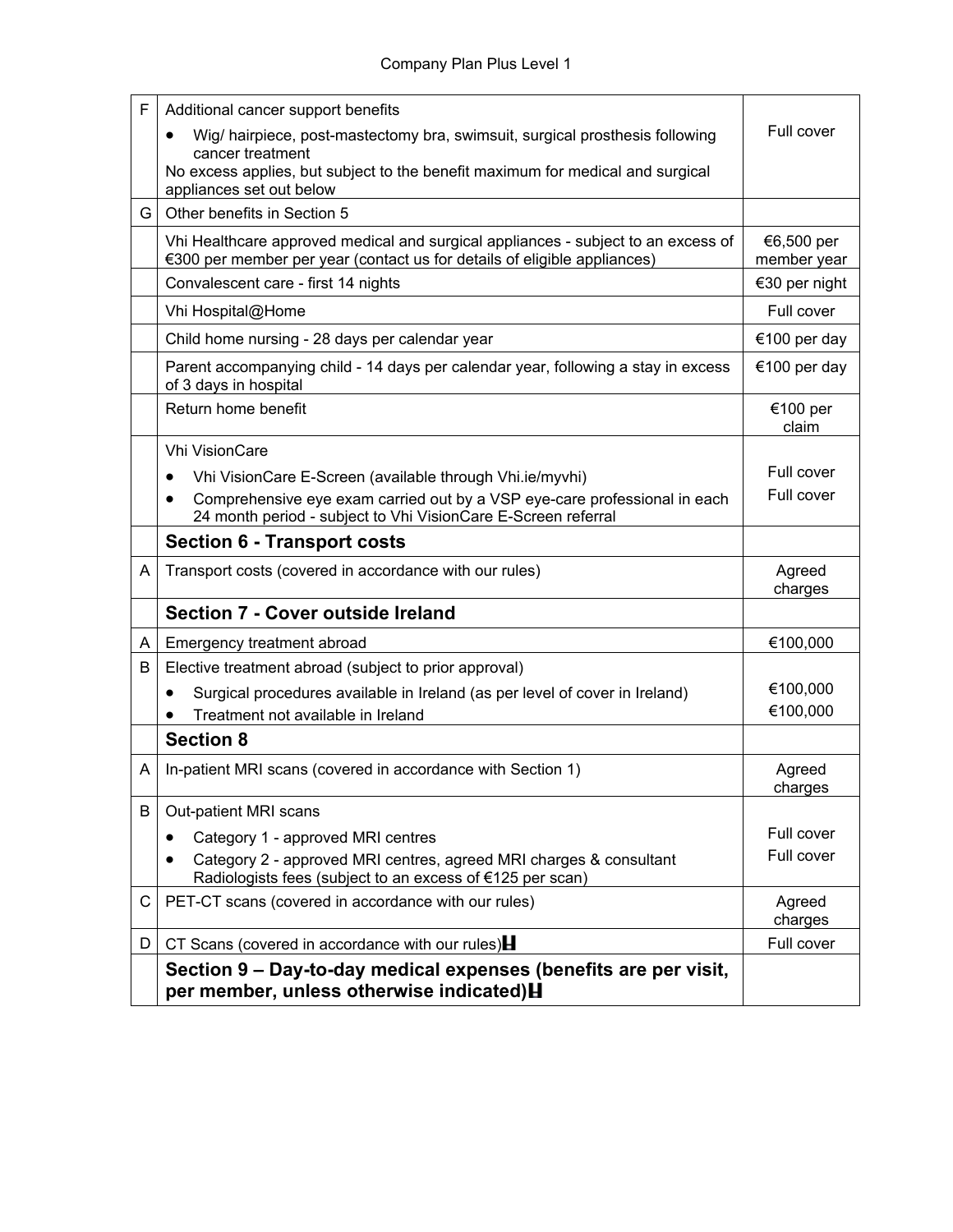| F  | Additional cancer support benefits                                                                                                                            |                           |
|----|---------------------------------------------------------------------------------------------------------------------------------------------------------------|---------------------------|
|    | Wig/ hairpiece, post-mastectomy bra, swimsuit, surgical prosthesis following<br>$\bullet$                                                                     | Full cover                |
|    | cancer treatment<br>No excess applies, but subject to the benefit maximum for medical and surgical<br>appliances set out below                                |                           |
| G. | Other benefits in Section 5                                                                                                                                   |                           |
|    | Vhi Healthcare approved medical and surgical appliances - subject to an excess of<br>€300 per member per year (contact us for details of eligible appliances) | €6,500 per<br>member year |
|    | Convalescent care - first 14 nights                                                                                                                           | €30 per night             |
|    | Vhi Hospital@Home                                                                                                                                             | Full cover                |
|    | Child home nursing - 28 days per calendar year                                                                                                                | €100 per day              |
|    | Parent accompanying child - 14 days per calendar year, following a stay in excess<br>of 3 days in hospital                                                    | €100 per day              |
|    | Return home benefit                                                                                                                                           | €100 per<br>claim         |
|    | <b>Vhi VisionCare</b>                                                                                                                                         |                           |
|    | Vhi VisionCare E-Screen (available through Vhi.ie/myvhi)<br>٠                                                                                                 | Full cover                |
|    | Comprehensive eye exam carried out by a VSP eye-care professional in each<br>$\bullet$<br>24 month period - subject to Vhi VisionCare E-Screen referral       | Full cover                |
|    | <b>Section 6 - Transport costs</b>                                                                                                                            |                           |
| A  | Transport costs (covered in accordance with our rules)                                                                                                        | Agreed<br>charges         |
|    | <b>Section 7 - Cover outside Ireland</b>                                                                                                                      |                           |
| A  | Emergency treatment abroad                                                                                                                                    | €100,000                  |
| B  | Elective treatment abroad (subject to prior approval)                                                                                                         |                           |
|    | Surgical procedures available in Ireland (as per level of cover in Ireland)<br>٠                                                                              | €100,000                  |
|    | Treatment not available in Ireland                                                                                                                            | €100,000                  |
|    | <b>Section 8</b>                                                                                                                                              |                           |
| A  | In-patient MRI scans (covered in accordance with Section 1)                                                                                                   | Agreed<br>charges         |
| B  | Out-patient MRI scans                                                                                                                                         |                           |
|    | Category 1 - approved MRI centres                                                                                                                             | Full cover                |
|    | Category 2 - approved MRI centres, agreed MRI charges & consultant<br>Radiologists fees (subject to an excess of €125 per scan)                               | Full cover                |
| C  | PET-CT scans (covered in accordance with our rules)                                                                                                           | Agreed<br>charges         |
| D. | CT Scans (covered in accordance with our rules) $\blacksquare$                                                                                                | Full cover                |
|    | Section 9 – Day-to-day medical expenses (benefits are per visit,<br>per member, unless otherwise indicated) H                                                 |                           |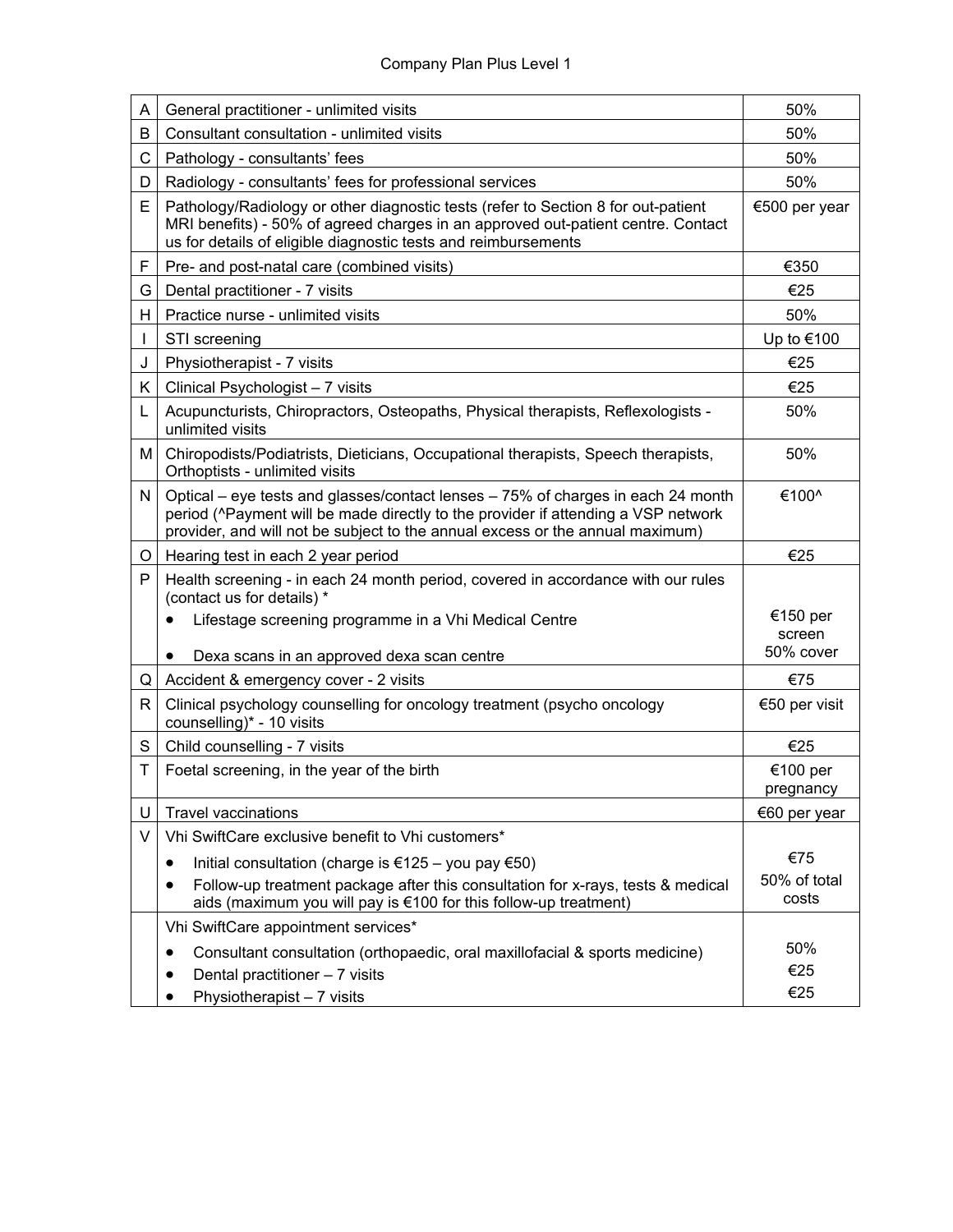| A  | General practitioner - unlimited visits                                                                                                                                                                                                                | 50%                   |
|----|--------------------------------------------------------------------------------------------------------------------------------------------------------------------------------------------------------------------------------------------------------|-----------------------|
| B  | Consultant consultation - unlimited visits                                                                                                                                                                                                             | 50%                   |
| C  | Pathology - consultants' fees                                                                                                                                                                                                                          | 50%                   |
| D  | Radiology - consultants' fees for professional services                                                                                                                                                                                                | 50%                   |
| E. | Pathology/Radiology or other diagnostic tests (refer to Section 8 for out-patient<br>MRI benefits) - 50% of agreed charges in an approved out-patient centre. Contact<br>us for details of eligible diagnostic tests and reimbursements                | €500 per year         |
| F  | Pre- and post-natal care (combined visits)                                                                                                                                                                                                             | €350                  |
| G  | Dental practitioner - 7 visits                                                                                                                                                                                                                         | €25                   |
| H. | Practice nurse - unlimited visits                                                                                                                                                                                                                      | 50%                   |
|    | STI screening                                                                                                                                                                                                                                          | Up to €100            |
| J  | Physiotherapist - 7 visits                                                                                                                                                                                                                             | €25                   |
| K. | Clinical Psychologist - 7 visits                                                                                                                                                                                                                       | €25                   |
| L  | Acupuncturists, Chiropractors, Osteopaths, Physical therapists, Reflexologists -<br>unlimited visits                                                                                                                                                   | 50%                   |
| М  | Chiropodists/Podiatrists, Dieticians, Occupational therapists, Speech therapists,<br>Orthoptists - unlimited visits                                                                                                                                    | 50%                   |
| N  | Optical – eye tests and glasses/contact lenses – 75% of charges in each 24 month<br>period (^Payment will be made directly to the provider if attending a VSP network<br>provider, and will not be subject to the annual excess or the annual maximum) | €100^                 |
| O  | Hearing test in each 2 year period                                                                                                                                                                                                                     | €25                   |
| P  | Health screening - in each 24 month period, covered in accordance with our rules<br>(contact us for details) *<br>Lifestage screening programme in a Vhi Medical Centre                                                                                | €150 per              |
|    | Dexa scans in an approved dexa scan centre                                                                                                                                                                                                             | screen<br>50% cover   |
| Q  | Accident & emergency cover - 2 visits                                                                                                                                                                                                                  | €75                   |
| R  | Clinical psychology counselling for oncology treatment (psycho oncology<br>counselling)* - 10 visits                                                                                                                                                   | €50 per visit         |
| S  | Child counselling - 7 visits                                                                                                                                                                                                                           | €25                   |
| Т  | Foetal screening, in the year of the birth                                                                                                                                                                                                             | €100 per<br>pregnancy |
| U  | <b>Travel vaccinations</b>                                                                                                                                                                                                                             | €60 per year          |
| V  | Vhi SwiftCare exclusive benefit to Vhi customers*                                                                                                                                                                                                      |                       |
|    | Initial consultation (charge is $\epsilon$ 125 – you pay $\epsilon$ 50)<br>٠                                                                                                                                                                           | €75                   |
|    | Follow-up treatment package after this consultation for x-rays, tests & medical<br>aids (maximum you will pay is €100 for this follow-up treatment)                                                                                                    | 50% of total<br>costs |
|    | Vhi SwiftCare appointment services*                                                                                                                                                                                                                    |                       |
|    | Consultant consultation (orthopaedic, oral maxillofacial & sports medicine)<br>Dental practitioner - 7 visits<br>Physiotherapist - 7 visits                                                                                                            | 50%<br>€25<br>€25     |